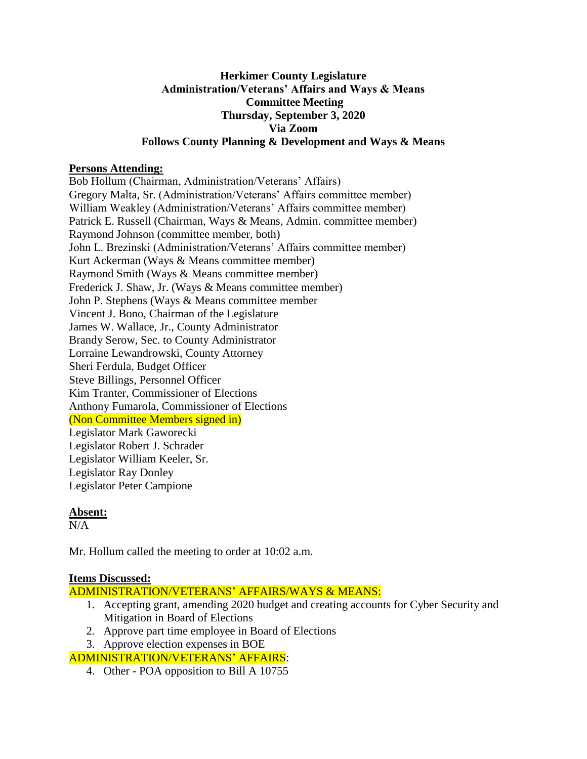## **Herkimer County Legislature Administration/Veterans' Affairs and Ways & Means Committee Meeting Thursday, September 3, 2020 Via Zoom Follows County Planning & Development and Ways & Means**

## **Persons Attending:**

Bob Hollum (Chairman, Administration/Veterans' Affairs) Gregory Malta, Sr. (Administration/Veterans' Affairs committee member) William Weakley (Administration/Veterans' Affairs committee member) Patrick E. Russell (Chairman, Ways & Means, Admin. committee member) Raymond Johnson (committee member, both) John L. Brezinski (Administration/Veterans' Affairs committee member) Kurt Ackerman (Ways & Means committee member) Raymond Smith (Ways & Means committee member) Frederick J. Shaw, Jr. (Ways & Means committee member) John P. Stephens (Ways & Means committee member Vincent J. Bono, Chairman of the Legislature James W. Wallace, Jr., County Administrator Brandy Serow, Sec. to County Administrator Lorraine Lewandrowski, County Attorney Sheri Ferdula, Budget Officer Steve Billings, Personnel Officer Kim Tranter, Commissioner of Elections Anthony Fumarola, Commissioner of Elections (Non Committee Members signed in) Legislator Mark Gaworecki Legislator Robert J. Schrader Legislator William Keeler, Sr. Legislator Ray Donley Legislator Peter Campione

## **Absent:**

 $N/A$ 

Mr. Hollum called the meeting to order at 10:02 a.m.

#### **Items Discussed:**

ADMINISTRATION/VETERANS' AFFAIRS/WAYS & MEANS:

- 1. Accepting grant, amending 2020 budget and creating accounts for Cyber Security and Mitigation in Board of Elections
- 2. Approve part time employee in Board of Elections
- 3. Approve election expenses in BOE

## ADMINISTRATION/VETERANS' AFFAIRS:

4. Other - POA opposition to Bill A 10755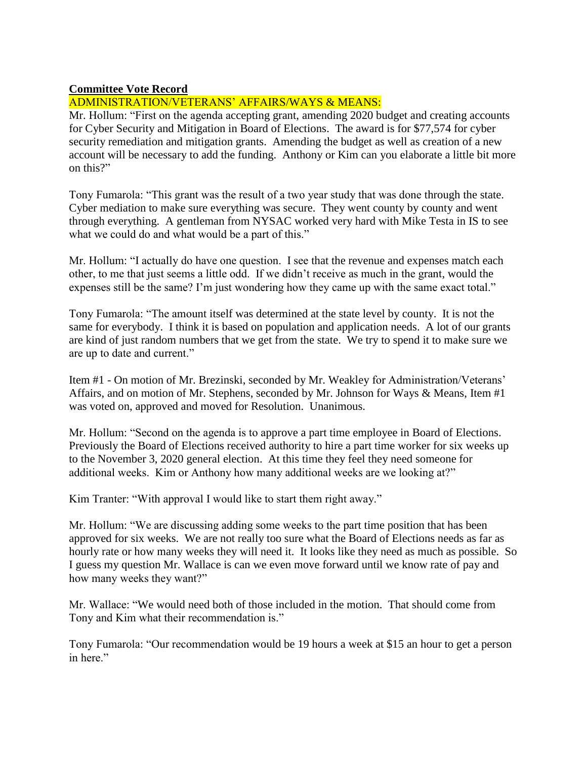## **Committee Vote Record**

# ADMINISTRATION/VETERANS' AFFAIRS/WAYS & MEANS:

Mr. Hollum: "First on the agenda accepting grant, amending 2020 budget and creating accounts for Cyber Security and Mitigation in Board of Elections. The award is for \$77,574 for cyber security remediation and mitigation grants. Amending the budget as well as creation of a new account will be necessary to add the funding. Anthony or Kim can you elaborate a little bit more on this?"

Tony Fumarola: "This grant was the result of a two year study that was done through the state. Cyber mediation to make sure everything was secure. They went county by county and went through everything. A gentleman from NYSAC worked very hard with Mike Testa in IS to see what we could do and what would be a part of this."

Mr. Hollum: "I actually do have one question. I see that the revenue and expenses match each other, to me that just seems a little odd. If we didn't receive as much in the grant, would the expenses still be the same? I'm just wondering how they came up with the same exact total."

Tony Fumarola: "The amount itself was determined at the state level by county. It is not the same for everybody. I think it is based on population and application needs. A lot of our grants are kind of just random numbers that we get from the state. We try to spend it to make sure we are up to date and current."

Item #1 - On motion of Mr. Brezinski, seconded by Mr. Weakley for Administration/Veterans' Affairs, and on motion of Mr. Stephens, seconded by Mr. Johnson for Ways & Means, Item #1 was voted on, approved and moved for Resolution. Unanimous.

Mr. Hollum: "Second on the agenda is to approve a part time employee in Board of Elections. Previously the Board of Elections received authority to hire a part time worker for six weeks up to the November 3, 2020 general election. At this time they feel they need someone for additional weeks. Kim or Anthony how many additional weeks are we looking at?"

Kim Tranter: "With approval I would like to start them right away."

Mr. Hollum: "We are discussing adding some weeks to the part time position that has been approved for six weeks. We are not really too sure what the Board of Elections needs as far as hourly rate or how many weeks they will need it. It looks like they need as much as possible. So I guess my question Mr. Wallace is can we even move forward until we know rate of pay and how many weeks they want?"

Mr. Wallace: "We would need both of those included in the motion. That should come from Tony and Kim what their recommendation is."

Tony Fumarola: "Our recommendation would be 19 hours a week at \$15 an hour to get a person in here."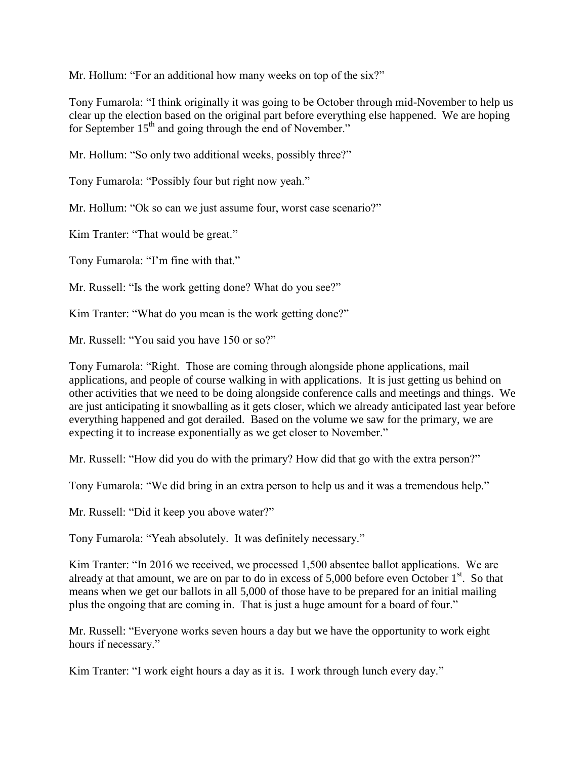Mr. Hollum: "For an additional how many weeks on top of the six?"

Tony Fumarola: "I think originally it was going to be October through mid-November to help us clear up the election based on the original part before everything else happened. We are hoping for September  $15<sup>th</sup>$  and going through the end of November."

Mr. Hollum: "So only two additional weeks, possibly three?"

Tony Fumarola: "Possibly four but right now yeah."

Mr. Hollum: "Ok so can we just assume four, worst case scenario?"

Kim Tranter: "That would be great."

Tony Fumarola: "I'm fine with that."

Mr. Russell: "Is the work getting done? What do you see?"

Kim Tranter: "What do you mean is the work getting done?"

Mr. Russell: "You said you have 150 or so?"

Tony Fumarola: "Right. Those are coming through alongside phone applications, mail applications, and people of course walking in with applications. It is just getting us behind on other activities that we need to be doing alongside conference calls and meetings and things. We are just anticipating it snowballing as it gets closer, which we already anticipated last year before everything happened and got derailed. Based on the volume we saw for the primary, we are expecting it to increase exponentially as we get closer to November."

Mr. Russell: "How did you do with the primary? How did that go with the extra person?"

Tony Fumarola: "We did bring in an extra person to help us and it was a tremendous help."

Mr. Russell: "Did it keep you above water?"

Tony Fumarola: "Yeah absolutely. It was definitely necessary."

Kim Tranter: "In 2016 we received, we processed 1,500 absentee ballot applications. We are already at that amount, we are on par to do in excess of  $5,000$  before even October  $1<sup>st</sup>$ . So that means when we get our ballots in all 5,000 of those have to be prepared for an initial mailing plus the ongoing that are coming in. That is just a huge amount for a board of four."

Mr. Russell: "Everyone works seven hours a day but we have the opportunity to work eight hours if necessary."

Kim Tranter: "I work eight hours a day as it is. I work through lunch every day."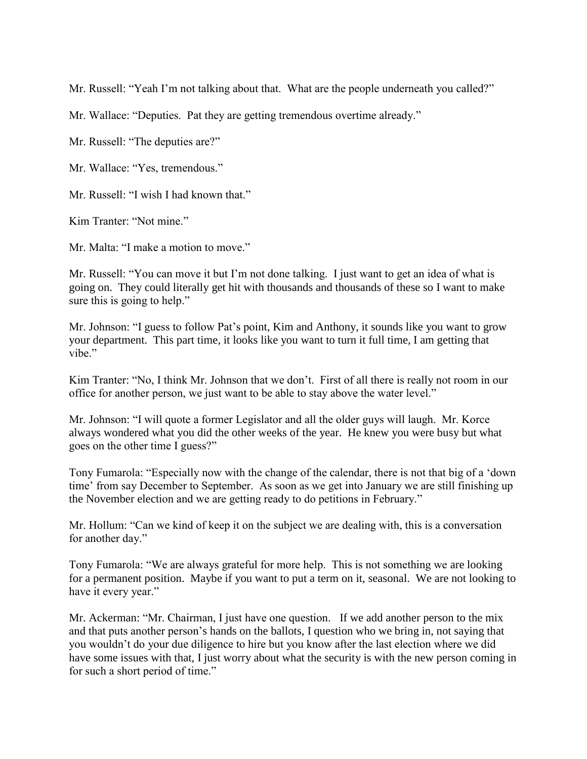Mr. Russell: "Yeah I'm not talking about that. What are the people underneath you called?"

Mr. Wallace: "Deputies. Pat they are getting tremendous overtime already."

Mr. Russell: "The deputies are?"

Mr. Wallace: "Yes, tremendous."

Mr. Russell: "I wish I had known that."

Kim Tranter: "Not mine."

Mr. Malta: "I make a motion to move."

Mr. Russell: "You can move it but I'm not done talking. I just want to get an idea of what is going on. They could literally get hit with thousands and thousands of these so I want to make sure this is going to help."

Mr. Johnson: "I guess to follow Pat's point, Kim and Anthony, it sounds like you want to grow your department. This part time, it looks like you want to turn it full time, I am getting that vibe."

Kim Tranter: "No, I think Mr. Johnson that we don't. First of all there is really not room in our office for another person, we just want to be able to stay above the water level."

Mr. Johnson: "I will quote a former Legislator and all the older guys will laugh. Mr. Korce always wondered what you did the other weeks of the year. He knew you were busy but what goes on the other time I guess?"

Tony Fumarola: "Especially now with the change of the calendar, there is not that big of a 'down time' from say December to September. As soon as we get into January we are still finishing up the November election and we are getting ready to do petitions in February."

Mr. Hollum: "Can we kind of keep it on the subject we are dealing with, this is a conversation for another day."

Tony Fumarola: "We are always grateful for more help. This is not something we are looking for a permanent position. Maybe if you want to put a term on it, seasonal. We are not looking to have it every year."

Mr. Ackerman: "Mr. Chairman, I just have one question. If we add another person to the mix and that puts another person's hands on the ballots, I question who we bring in, not saying that you wouldn't do your due diligence to hire but you know after the last election where we did have some issues with that, I just worry about what the security is with the new person coming in for such a short period of time."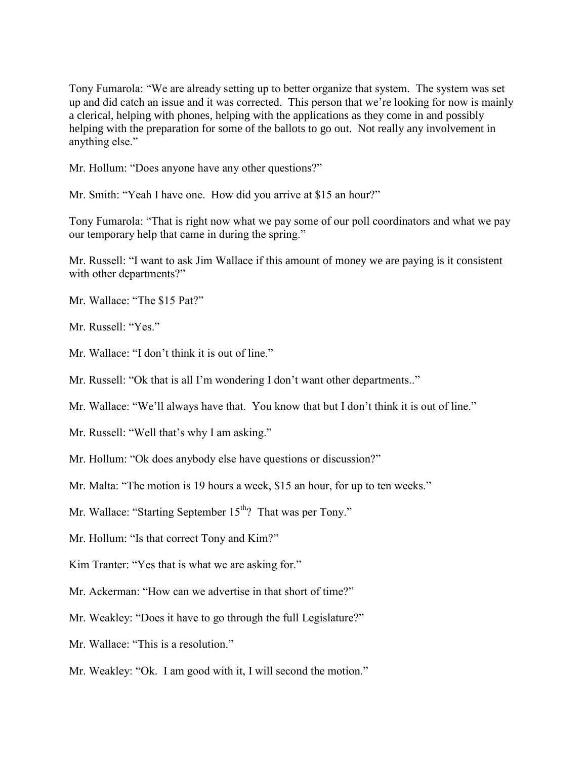Tony Fumarola: "We are already setting up to better organize that system. The system was set up and did catch an issue and it was corrected. This person that we're looking for now is mainly a clerical, helping with phones, helping with the applications as they come in and possibly helping with the preparation for some of the ballots to go out. Not really any involvement in anything else."

Mr. Hollum: "Does anyone have any other questions?"

Mr. Smith: "Yeah I have one. How did you arrive at \$15 an hour?"

Tony Fumarola: "That is right now what we pay some of our poll coordinators and what we pay our temporary help that came in during the spring."

Mr. Russell: "I want to ask Jim Wallace if this amount of money we are paying is it consistent with other departments?"

- Mr. Wallace: "The \$15 Pat?"
- Mr. Russell: "Yes."
- Mr. Wallace: "I don't think it is out of line."
- Mr. Russell: "Ok that is all I'm wondering I don't want other departments.."

Mr. Wallace: "We'll always have that. You know that but I don't think it is out of line."

- Mr. Russell: "Well that's why I am asking."
- Mr. Hollum: "Ok does anybody else have questions or discussion?"
- Mr. Malta: "The motion is 19 hours a week, \$15 an hour, for up to ten weeks."
- Mr. Wallace: "Starting September 15<sup>th</sup>? That was per Tony."
- Mr. Hollum: "Is that correct Tony and Kim?"
- Kim Tranter: "Yes that is what we are asking for."
- Mr. Ackerman: "How can we advertise in that short of time?"
- Mr. Weakley: "Does it have to go through the full Legislature?"
- Mr. Wallace: "This is a resolution."
- Mr. Weakley: "Ok. I am good with it, I will second the motion."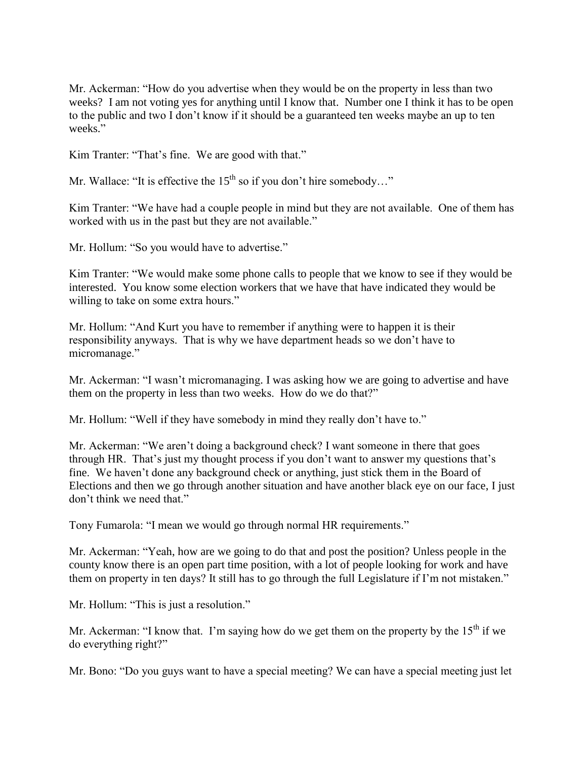Mr. Ackerman: "How do you advertise when they would be on the property in less than two weeks? I am not voting yes for anything until I know that. Number one I think it has to be open to the public and two I don't know if it should be a guaranteed ten weeks maybe an up to ten weeks."

Kim Tranter: "That's fine. We are good with that."

Mr. Wallace: "It is effective the  $15<sup>th</sup>$  so if you don't hire somebody..."

Kim Tranter: "We have had a couple people in mind but they are not available. One of them has worked with us in the past but they are not available."

Mr. Hollum: "So you would have to advertise."

Kim Tranter: "We would make some phone calls to people that we know to see if they would be interested. You know some election workers that we have that have indicated they would be willing to take on some extra hours."

Mr. Hollum: "And Kurt you have to remember if anything were to happen it is their responsibility anyways. That is why we have department heads so we don't have to micromanage."

Mr. Ackerman: "I wasn't micromanaging. I was asking how we are going to advertise and have them on the property in less than two weeks. How do we do that?"

Mr. Hollum: "Well if they have somebody in mind they really don't have to."

Mr. Ackerman: "We aren't doing a background check? I want someone in there that goes through HR. That's just my thought process if you don't want to answer my questions that's fine. We haven't done any background check or anything, just stick them in the Board of Elections and then we go through another situation and have another black eye on our face, I just don't think we need that."

Tony Fumarola: "I mean we would go through normal HR requirements."

Mr. Ackerman: "Yeah, how are we going to do that and post the position? Unless people in the county know there is an open part time position, with a lot of people looking for work and have them on property in ten days? It still has to go through the full Legislature if I'm not mistaken."

Mr. Hollum: "This is just a resolution."

Mr. Ackerman: "I know that. I'm saying how do we get them on the property by the  $15<sup>th</sup>$  if we do everything right?"

Mr. Bono: "Do you guys want to have a special meeting? We can have a special meeting just let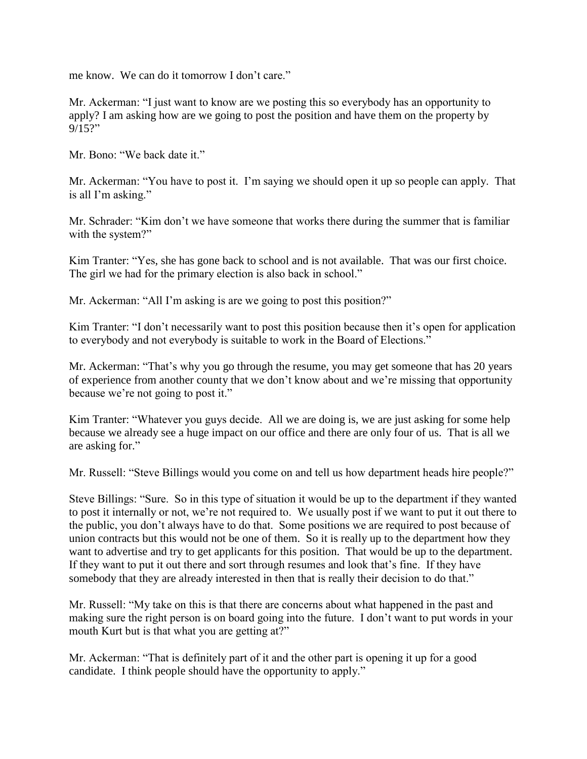me know. We can do it tomorrow I don't care."

Mr. Ackerman: "I just want to know are we posting this so everybody has an opportunity to apply? I am asking how are we going to post the position and have them on the property by 9/15?"

Mr. Bono: "We back date it."

Mr. Ackerman: "You have to post it. I'm saying we should open it up so people can apply. That is all I'm asking."

Mr. Schrader: "Kim don't we have someone that works there during the summer that is familiar with the system?"

Kim Tranter: "Yes, she has gone back to school and is not available. That was our first choice. The girl we had for the primary election is also back in school."

Mr. Ackerman: "All I'm asking is are we going to post this position?"

Kim Tranter: "I don't necessarily want to post this position because then it's open for application to everybody and not everybody is suitable to work in the Board of Elections."

Mr. Ackerman: "That's why you go through the resume, you may get someone that has 20 years of experience from another county that we don't know about and we're missing that opportunity because we're not going to post it."

Kim Tranter: "Whatever you guys decide. All we are doing is, we are just asking for some help because we already see a huge impact on our office and there are only four of us. That is all we are asking for."

Mr. Russell: "Steve Billings would you come on and tell us how department heads hire people?"

Steve Billings: "Sure. So in this type of situation it would be up to the department if they wanted to post it internally or not, we're not required to. We usually post if we want to put it out there to the public, you don't always have to do that. Some positions we are required to post because of union contracts but this would not be one of them. So it is really up to the department how they want to advertise and try to get applicants for this position. That would be up to the department. If they want to put it out there and sort through resumes and look that's fine. If they have somebody that they are already interested in then that is really their decision to do that."

Mr. Russell: "My take on this is that there are concerns about what happened in the past and making sure the right person is on board going into the future. I don't want to put words in your mouth Kurt but is that what you are getting at?"

Mr. Ackerman: "That is definitely part of it and the other part is opening it up for a good candidate. I think people should have the opportunity to apply."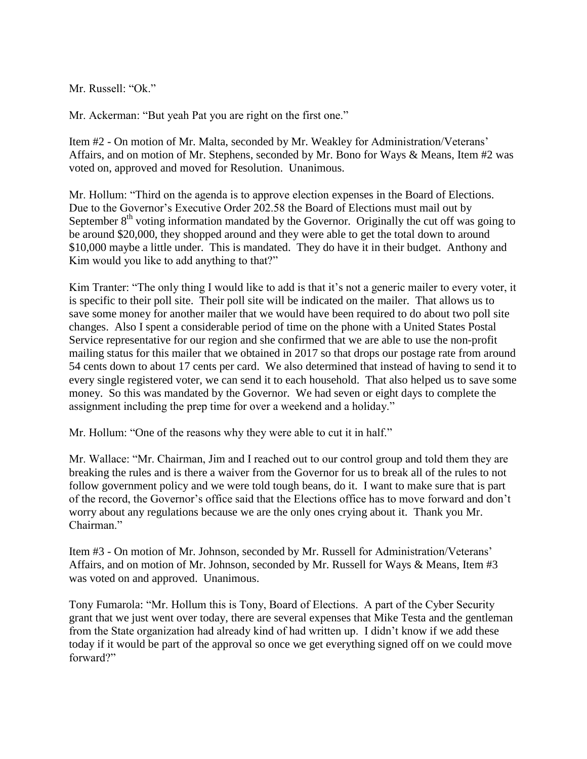Mr. Russell: "Ok."

Mr. Ackerman: "But yeah Pat you are right on the first one."

Item #2 - On motion of Mr. Malta, seconded by Mr. Weakley for Administration/Veterans' Affairs, and on motion of Mr. Stephens, seconded by Mr. Bono for Ways & Means, Item #2 was voted on, approved and moved for Resolution. Unanimous.

Mr. Hollum: "Third on the agenda is to approve election expenses in the Board of Elections. Due to the Governor's Executive Order 202.58 the Board of Elections must mail out by September  $8<sup>th</sup>$  voting information mandated by the Governor. Originally the cut off was going to be around \$20,000, they shopped around and they were able to get the total down to around \$10,000 maybe a little under. This is mandated. They do have it in their budget. Anthony and Kim would you like to add anything to that?"

Kim Tranter: "The only thing I would like to add is that it's not a generic mailer to every voter, it is specific to their poll site. Their poll site will be indicated on the mailer. That allows us to save some money for another mailer that we would have been required to do about two poll site changes. Also I spent a considerable period of time on the phone with a United States Postal Service representative for our region and she confirmed that we are able to use the non-profit mailing status for this mailer that we obtained in 2017 so that drops our postage rate from around 54 cents down to about 17 cents per card. We also determined that instead of having to send it to every single registered voter, we can send it to each household. That also helped us to save some money. So this was mandated by the Governor. We had seven or eight days to complete the assignment including the prep time for over a weekend and a holiday."

Mr. Hollum: "One of the reasons why they were able to cut it in half."

Mr. Wallace: "Mr. Chairman, Jim and I reached out to our control group and told them they are breaking the rules and is there a waiver from the Governor for us to break all of the rules to not follow government policy and we were told tough beans, do it. I want to make sure that is part of the record, the Governor's office said that the Elections office has to move forward and don't worry about any regulations because we are the only ones crying about it. Thank you Mr. Chairman."

Item #3 - On motion of Mr. Johnson, seconded by Mr. Russell for Administration/Veterans' Affairs, and on motion of Mr. Johnson, seconded by Mr. Russell for Ways & Means, Item #3 was voted on and approved. Unanimous.

Tony Fumarola: "Mr. Hollum this is Tony, Board of Elections. A part of the Cyber Security grant that we just went over today, there are several expenses that Mike Testa and the gentleman from the State organization had already kind of had written up. I didn't know if we add these today if it would be part of the approval so once we get everything signed off on we could move forward?"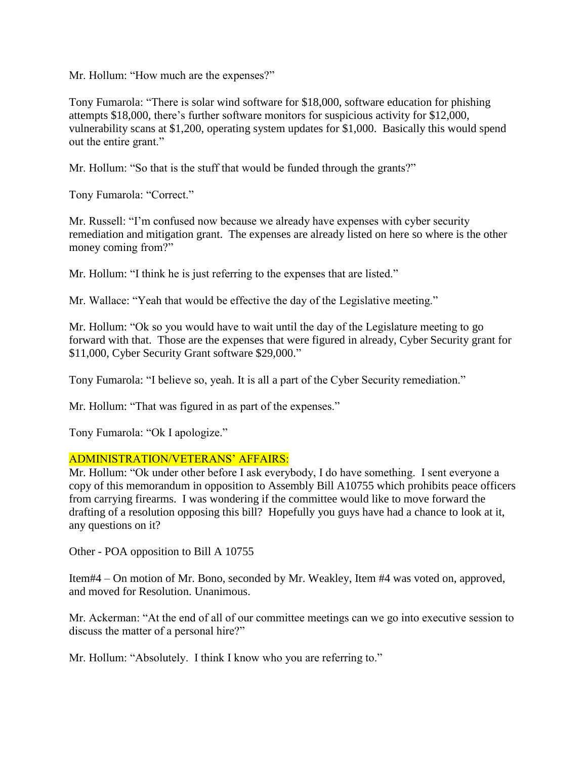Mr. Hollum: "How much are the expenses?"

Tony Fumarola: "There is solar wind software for \$18,000, software education for phishing attempts \$18,000, there's further software monitors for suspicious activity for \$12,000, vulnerability scans at \$1,200, operating system updates for \$1,000. Basically this would spend out the entire grant."

Mr. Hollum: "So that is the stuff that would be funded through the grants?"

Tony Fumarola: "Correct."

Mr. Russell: "I'm confused now because we already have expenses with cyber security remediation and mitigation grant. The expenses are already listed on here so where is the other money coming from?"

Mr. Hollum: "I think he is just referring to the expenses that are listed."

Mr. Wallace: "Yeah that would be effective the day of the Legislative meeting."

Mr. Hollum: "Ok so you would have to wait until the day of the Legislature meeting to go forward with that. Those are the expenses that were figured in already, Cyber Security grant for \$11,000, Cyber Security Grant software \$29,000."

Tony Fumarola: "I believe so, yeah. It is all a part of the Cyber Security remediation."

Mr. Hollum: "That was figured in as part of the expenses."

Tony Fumarola: "Ok I apologize."

#### ADMINISTRATION/VETERANS' AFFAIRS:

Mr. Hollum: "Ok under other before I ask everybody, I do have something. I sent everyone a copy of this memorandum in opposition to Assembly Bill A10755 which prohibits peace officers from carrying firearms. I was wondering if the committee would like to move forward the drafting of a resolution opposing this bill? Hopefully you guys have had a chance to look at it, any questions on it?

Other - POA opposition to Bill A 10755

Item#4 – On motion of Mr. Bono, seconded by Mr. Weakley, Item #4 was voted on, approved, and moved for Resolution. Unanimous.

Mr. Ackerman: "At the end of all of our committee meetings can we go into executive session to discuss the matter of a personal hire?"

Mr. Hollum: "Absolutely. I think I know who you are referring to."